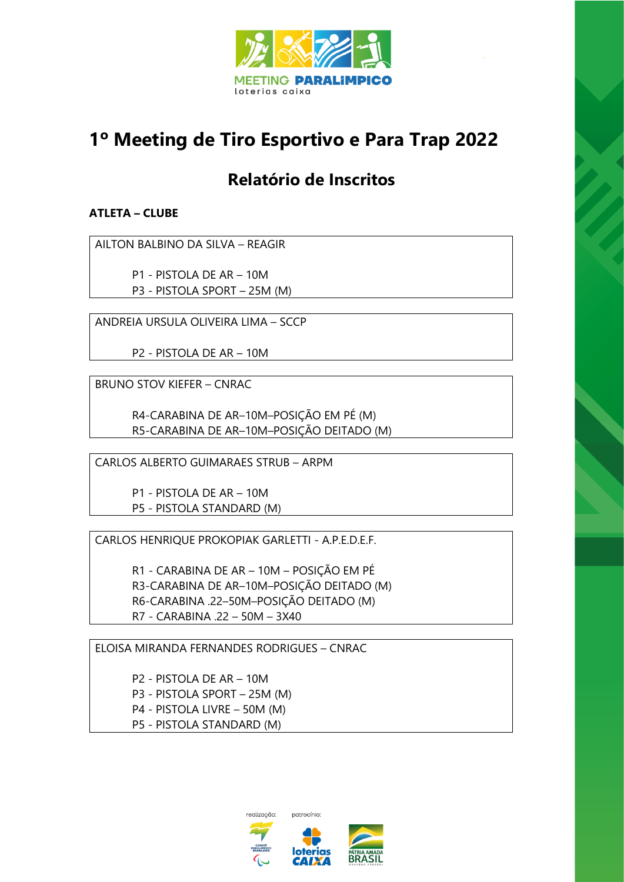

## **1º Meeting de Tiro Esportivo e Para Trap 2022**

## **Relatório de Inscritos**

## **ATLETA – CLUBE**

AILTON BALBINO DA SILVA – REAGIR

P1 - PISTOLA DE AR – 10M P3 - PISTOLA SPORT – 25M (M)

ANDREIA URSULA OLIVEIRA LIMA – SCCP

P2 - PISTOLA DE AR – 10M

BRUNO STOV KIEFER – CNRAC

R4-CARABINA DE AR–10M–POSIÇÃO EM PÉ (M) R5-CARABINA DE AR–10M–POSIÇÃO DEITADO (M)

CARLOS ALBERTO GUIMARAES STRUB – ARPM

P1 - PISTOLA DE AR – 10M P5 - PISTOLA STANDARD (M)

CARLOS HENRIQUE PROKOPIAK GARLETTI - A.P.E.D.E.F.

R1 - CARABINA DE AR – 10M – POSIÇÃO EM PÉ R3-CARABINA DE AR–10M–POSIÇÃO DEITADO (M) R6-CARABINA .22–50M–POSIÇÃO DEITADO (M) R7 - CARABINA .22 – 50M – 3X40

ELOISA MIRANDA FERNANDES RODRIGUES – CNRAC

P2 - PISTOLA DE AR – 10M P3 - PISTOLA SPORT – 25M (M) P4 - PISTOLA LIVRE – 50M (M) P5 - PISTOLA STANDARD (M)

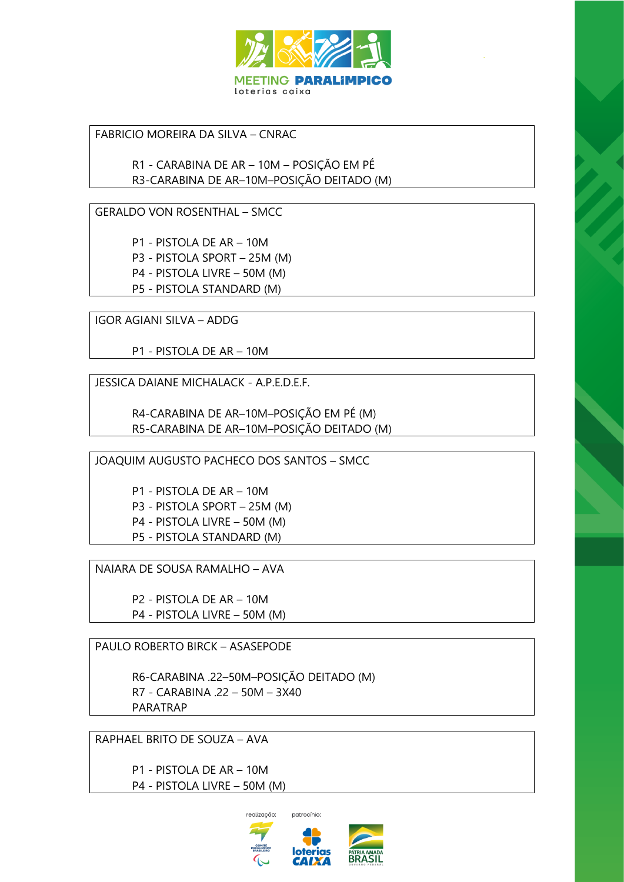

FABRICIO MOREIRA DA SILVA – CNRAC

R1 - CARABINA DE AR – 10M – POSIÇÃO EM PÉ R3-CARABINA DE AR–10M–POSIÇÃO DEITADO (M)

GERALDO VON ROSENTHAL – SMCC

P1 - PISTOLA DE AR – 10M P3 - PISTOLA SPORT – 25M (M) P4 - PISTOLA LIVRE – 50M (M) P5 - PISTOLA STANDARD (M)

IGOR AGIANI SILVA – ADDG

P1 - PISTOLA DE AR – 10M

JESSICA DAIANE MICHALACK - A.P.E.D.E.F.

R4-CARABINA DE AR–10M–POSIÇÃO EM PÉ (M) R5-CARABINA DE AR–10M–POSIÇÃO DEITADO (M)

JOAQUIM AUGUSTO PACHECO DOS SANTOS – SMCC

P1 - PISTOLA DE AR – 10M P3 - PISTOLA SPORT – 25M (M) P4 - PISTOLA LIVRE – 50M (M) P5 - PISTOLA STANDARD (M)

NAIARA DE SOUSA RAMALHO – AVA

P2 - PISTOLA DE AR – 10M P4 - PISTOLA LIVRE – 50M (M)

PAULO ROBERTO BIRCK – ASASEPODE

R6-CARABINA .22–50M–POSIÇÃO DEITADO (M) R7 - CARABINA .22 – 50M – 3X40 PARATRAP

RAPHAEL BRITO DE SOUZA – AVA

P1 - PISTOLA DE AR – 10M P4 - PISTOLA LIVRE – 50M (M)